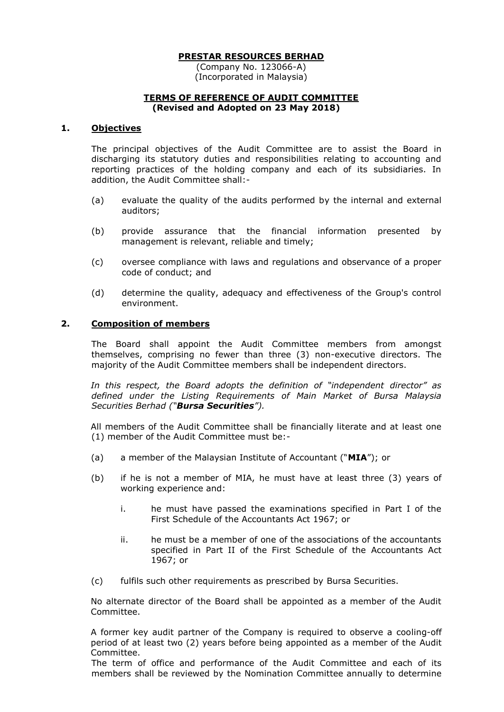(Company No. 123066-A) (Incorporated in Malaysia)

## **TERMS OF REFERENCE OF AUDIT COMMITTEE (Revised and Adopted on 23 May 2018)**

## **1. Objectives**

The principal objectives of the Audit Committee are to assist the Board in discharging its statutory duties and responsibilities relating to accounting and reporting practices of the holding company and each of its subsidiaries. In addition, the Audit Committee shall:-

- (a) evaluate the quality of the audits performed by the internal and external auditors;
- (b) provide assurance that the financial information presented by management is relevant, reliable and timely;
- (c) oversee compliance with laws and regulations and observance of a proper code of conduct; and
- (d) determine the quality, adequacy and effectiveness of the Group's control environment.

## **2. Composition of members**

The Board shall appoint the Audit Committee members from amongst themselves, comprising no fewer than three (3) non-executive directors. The majority of the Audit Committee members shall be independent directors.

*In this respect, the Board adopts the definition of "independent director" as defined under the Listing Requirements of Main Market of Bursa Malaysia Securities Berhad ("Bursa Securities").*

All members of the Audit Committee shall be financially literate and at least one (1) member of the Audit Committee must be:-

- (a) a member of the Malaysian Institute of Accountant ("**MIA**"); or
- (b) if he is not a member of MIA, he must have at least three (3) years of working experience and:
	- i. he must have passed the examinations specified in Part I of the First Schedule of the Accountants Act 1967; or
	- ii. he must be a member of one of the associations of the accountants specified in Part II of the First Schedule of the Accountants Act 1967; or
- (c) fulfils such other requirements as prescribed by Bursa Securities.

No alternate director of the Board shall be appointed as a member of the Audit Committee.

A former key audit partner of the Company is required to observe a cooling-off period of at least two (2) years before being appointed as a member of the Audit Committee.

The term of office and performance of the Audit Committee and each of its members shall be reviewed by the Nomination Committee annually to determine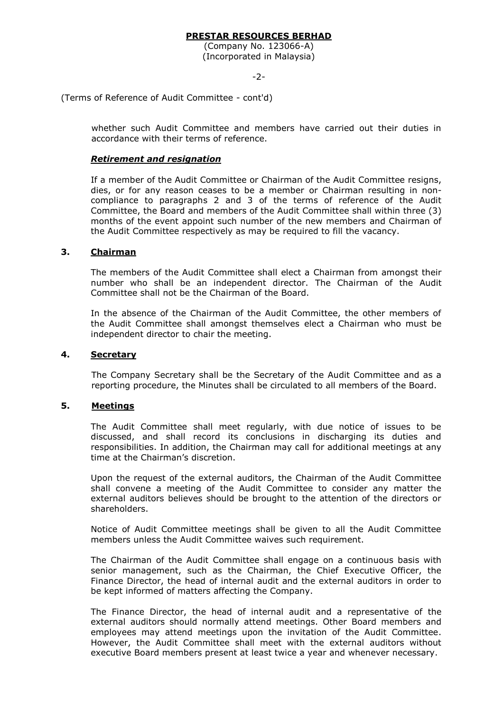(Company No. 123066-A) (Incorporated in Malaysia)

-2-

(Terms of Reference of Audit Committee - cont'd)

whether such Audit Committee and members have carried out their duties in accordance with their terms of reference.

## *Retirement and resignation*

If a member of the Audit Committee or Chairman of the Audit Committee resigns, dies, or for any reason ceases to be a member or Chairman resulting in noncompliance to paragraphs 2 and 3 of the terms of reference of the Audit Committee, the Board and members of the Audit Committee shall within three (3) months of the event appoint such number of the new members and Chairman of the Audit Committee respectively as may be required to fill the vacancy.

## **3. Chairman**

The members of the Audit Committee shall elect a Chairman from amongst their number who shall be an independent director. The Chairman of the Audit Committee shall not be the Chairman of the Board.

In the absence of the Chairman of the Audit Committee, the other members of the Audit Committee shall amongst themselves elect a Chairman who must be independent director to chair the meeting.

### **4. Secretary**

The Company Secretary shall be the Secretary of the Audit Committee and as a reporting procedure, the Minutes shall be circulated to all members of the Board.

## **5. Meetings**

The Audit Committee shall meet regularly, with due notice of issues to be discussed, and shall record its conclusions in discharging its duties and responsibilities. In addition, the Chairman may call for additional meetings at any time at the Chairman's discretion.

Upon the request of the external auditors, the Chairman of the Audit Committee shall convene a meeting of the Audit Committee to consider any matter the external auditors believes should be brought to the attention of the directors or shareholders.

Notice of Audit Committee meetings shall be given to all the Audit Committee members unless the Audit Committee waives such requirement.

The Chairman of the Audit Committee shall engage on a continuous basis with senior management, such as the Chairman, the Chief Executive Officer, the Finance Director, the head of internal audit and the external auditors in order to be kept informed of matters affecting the Company.

The Finance Director, the head of internal audit and a representative of the external auditors should normally attend meetings. Other Board members and employees may attend meetings upon the invitation of the Audit Committee. However, the Audit Committee shall meet with the external auditors without executive Board members present at least twice a year and whenever necessary.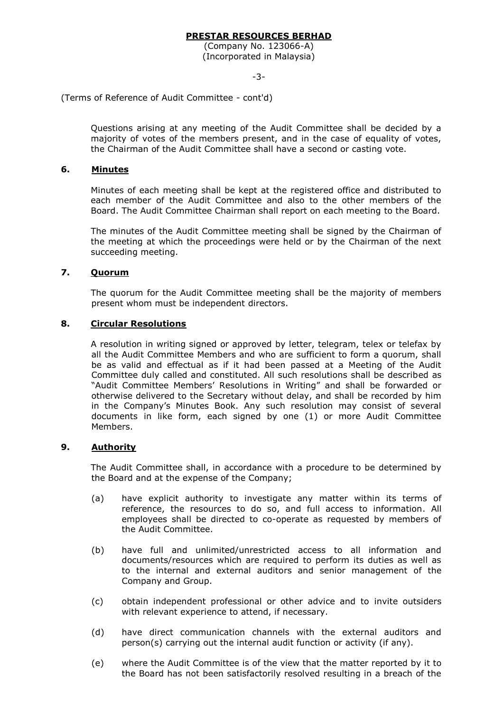(Company No. 123066-A) (Incorporated in Malaysia)

-3-

(Terms of Reference of Audit Committee - cont'd)

Questions arising at any meeting of the Audit Committee shall be decided by a majority of votes of the members present, and in the case of equality of votes, the Chairman of the Audit Committee shall have a second or casting vote.

## **6. Minutes**

Minutes of each meeting shall be kept at the registered office and distributed to each member of the Audit Committee and also to the other members of the Board. The Audit Committee Chairman shall report on each meeting to the Board.

The minutes of the Audit Committee meeting shall be signed by the Chairman of the meeting at which the proceedings were held or by the Chairman of the next succeeding meeting.

## **7. Quorum**

The quorum for the Audit Committee meeting shall be the majority of members present whom must be independent directors.

## **8. Circular Resolutions**

A resolution in writing signed or approved by letter, telegram, telex or telefax by all the Audit Committee Members and who are sufficient to form a quorum, shall be as valid and effectual as if it had been passed at a Meeting of the Audit Committee duly called and constituted. All such resolutions shall be described as "Audit Committee Members' Resolutions in Writing" and shall be forwarded or otherwise delivered to the Secretary without delay, and shall be recorded by him in the Company's Minutes Book. Any such resolution may consist of several documents in like form, each signed by one (1) or more Audit Committee Members.

## **9. Authority**

The Audit Committee shall, in accordance with a procedure to be determined by the Board and at the expense of the Company;

- (a) have explicit authority to investigate any matter within its terms of reference, the resources to do so, and full access to information. All employees shall be directed to co-operate as requested by members of the Audit Committee.
- (b) have full and unlimited/unrestricted access to all information and documents/resources which are required to perform its duties as well as to the internal and external auditors and senior management of the Company and Group.
- (c) obtain independent professional or other advice and to invite outsiders with relevant experience to attend, if necessary.
- (d) have direct communication channels with the external auditors and person(s) carrying out the internal audit function or activity (if any).
- (e) where the Audit Committee is of the view that the matter reported by it to the Board has not been satisfactorily resolved resulting in a breach of the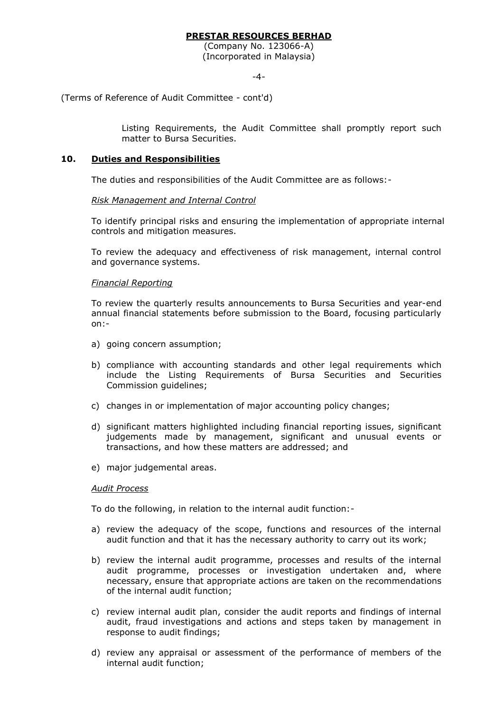(Company No. 123066-A) (Incorporated in Malaysia)

-4-

(Terms of Reference of Audit Committee - cont'd)

Listing Requirements, the Audit Committee shall promptly report such matter to Bursa Securities.

### **10. Duties and Responsibilities**

The duties and responsibilities of the Audit Committee are as follows:-

#### *Risk Management and Internal Control*

To identify principal risks and ensuring the implementation of appropriate internal controls and mitigation measures.

To review the adequacy and effectiveness of risk management, internal control and governance systems.

#### *Financial Reporting*

To review the quarterly results announcements to Bursa Securities and year-end annual financial statements before submission to the Board, focusing particularly on:-

- a) going concern assumption;
- b) compliance with accounting standards and other legal requirements which include the Listing Requirements of Bursa Securities and Securities Commission guidelines;
- c) changes in or implementation of major accounting policy changes;
- d) significant matters highlighted including financial reporting issues, significant judgements made by management, significant and unusual events or transactions, and how these matters are addressed; and
- e) major judgemental areas.

#### *Audit Process*

To do the following, in relation to the internal audit function:-

- a) review the adequacy of the scope, functions and resources of the internal audit function and that it has the necessary authority to carry out its work;
- b) review the internal audit programme, processes and results of the internal audit programme, processes or investigation undertaken and, where necessary, ensure that appropriate actions are taken on the recommendations of the internal audit function;
- c) review internal audit plan, consider the audit reports and findings of internal audit, fraud investigations and actions and steps taken by management in response to audit findings;
- d) review any appraisal or assessment of the performance of members of the internal audit function;